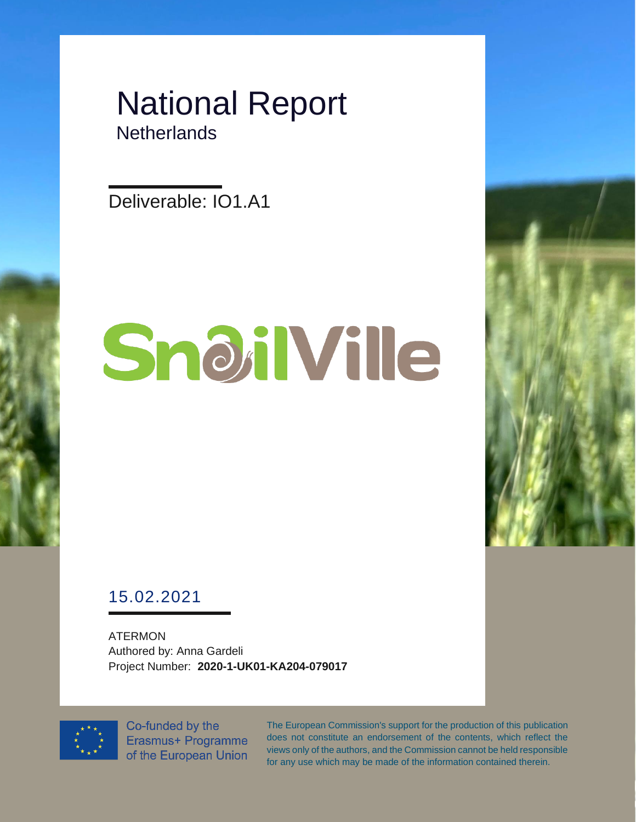### National Report **Netherlands**

Deliverable: IO1.A1

# SnoilVille



ATERMON Authored by: Anna Gardeli Project Number: **2020-1-UK01-KA204-079017**



Co-funded by the Erasmus+ Programme of the European Union The European Commission's support for the production of this publication does not constitute an endorsement of the contents, which reflect the views only of the authors, and the Commission cannot be held responsible for any use which may be made of the information contained therein.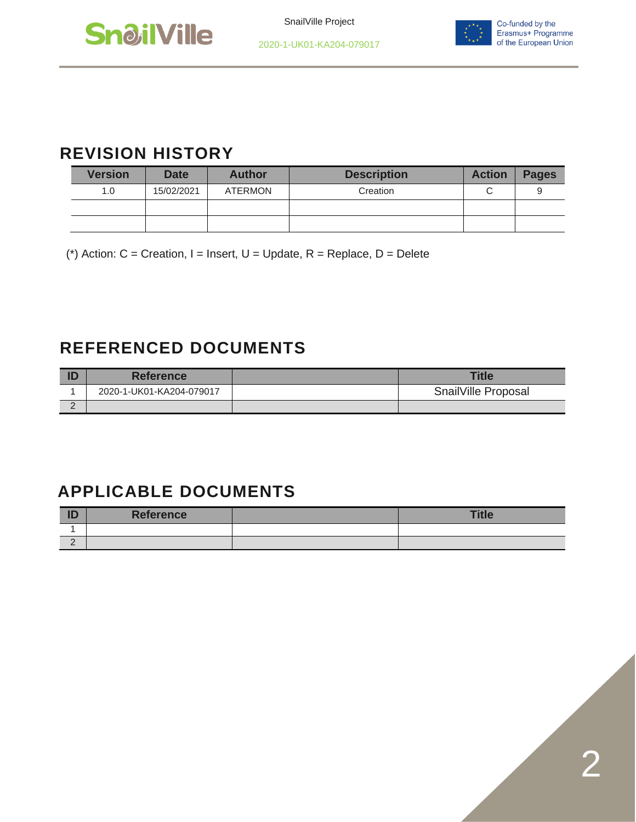



#### **REVISION HISTORY**

| <b>Version</b> | <b>Date</b> | <b>Author</b>  | <b>Description</b> | <b>Action</b> | <b>Pages</b> |
|----------------|-------------|----------------|--------------------|---------------|--------------|
| 1.0            | 15/02/2021  | <b>ATERMON</b> | Creation           |               |              |
|                |             |                |                    |               |              |
|                |             |                |                    |               |              |

(\*) Action:  $C =$  Creation, I = Insert, U = Update, R = Replace, D = Delete

#### **REFERENCED DOCUMENTS**

|   | <b>Reference</b>         | <b>Title</b>        |
|---|--------------------------|---------------------|
|   | 2020-1-UK01-KA204-079017 | SnailVille Proposal |
| - |                          |                     |

#### **APPLICABLE DOCUMENTS**

| ID       | <b>Reference</b> | <b>Title</b> |
|----------|------------------|--------------|
|          |                  |              |
| <u>_</u> |                  |              |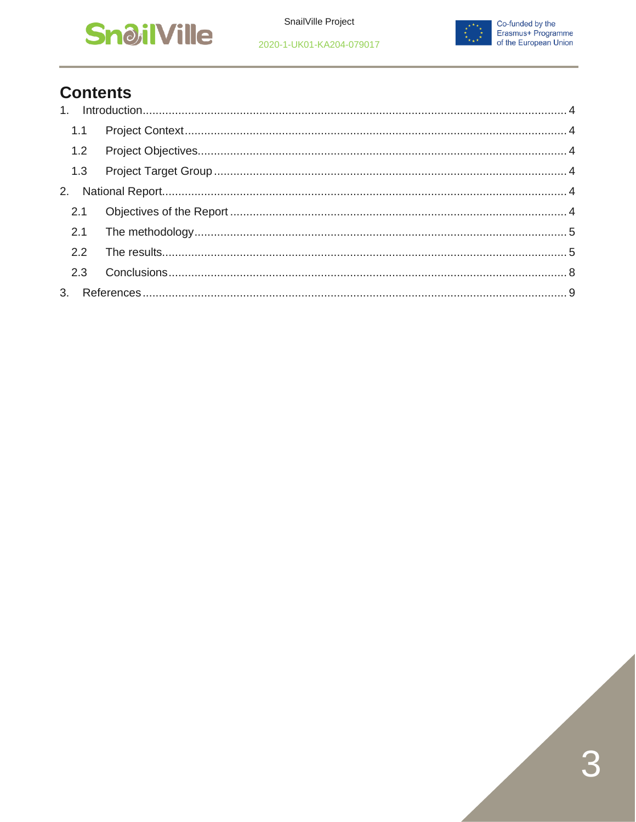



#### **Contents**

| 1.1 |  |
|-----|--|
| 1.2 |  |
|     |  |
|     |  |
|     |  |
|     |  |
| 2.2 |  |
| 2.3 |  |
|     |  |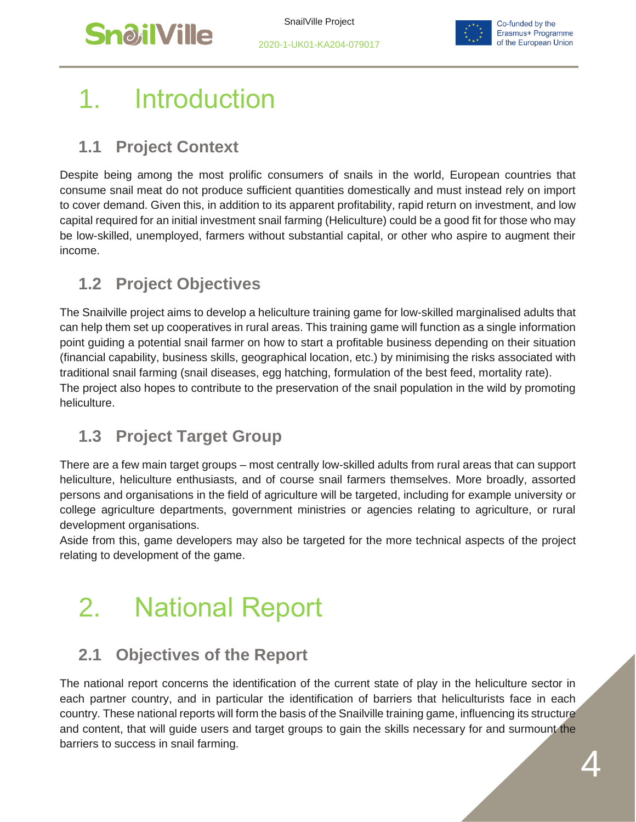



## <span id="page-3-0"></span>**Introduction**

#### <span id="page-3-1"></span>**1.1 Project Context**

Despite being among the most prolific consumers of snails in the world, European countries that consume snail meat do not produce sufficient quantities domestically and must instead rely on import to cover demand. Given this, in addition to its apparent profitability, rapid return on investment, and low capital required for an initial investment snail farming (Heliculture) could be a good fit for those who may be low-skilled, unemployed, farmers without substantial capital, or other who aspire to augment their income.

#### <span id="page-3-2"></span>**1.2 Project Objectives**

The Snailville project aims to develop a heliculture training game for low-skilled marginalised adults that can help them set up cooperatives in rural areas. This training game will function as a single information point guiding a potential snail farmer on how to start a profitable business depending on their situation (financial capability, business skills, geographical location, etc.) by minimising the risks associated with traditional snail farming (snail diseases, egg hatching, formulation of the best feed, mortality rate). The project also hopes to contribute to the preservation of the snail population in the wild by promoting heliculture.

#### <span id="page-3-3"></span>**1.3 Project Target Group**

There are a few main target groups – most centrally low-skilled adults from rural areas that can support heliculture, heliculture enthusiasts, and of course snail farmers themselves. More broadly, assorted persons and organisations in the field of agriculture will be targeted, including for example university or college agriculture departments, government ministries or agencies relating to agriculture, or rural development organisations.

Aside from this, game developers may also be targeted for the more technical aspects of the project relating to development of the game.

## <span id="page-3-4"></span>2. National Report

#### <span id="page-3-5"></span>**2.1 Objectives of the Report**

The national report concerns the identification of the current state of play in the heliculture sector in each partner country, and in particular the identification of barriers that heliculturists face in each country. These national reports will form the basis of the Snailville training game, influencing its structure and content, that will guide users and target groups to gain the skills necessary for and surmount the barriers to success in snail farming.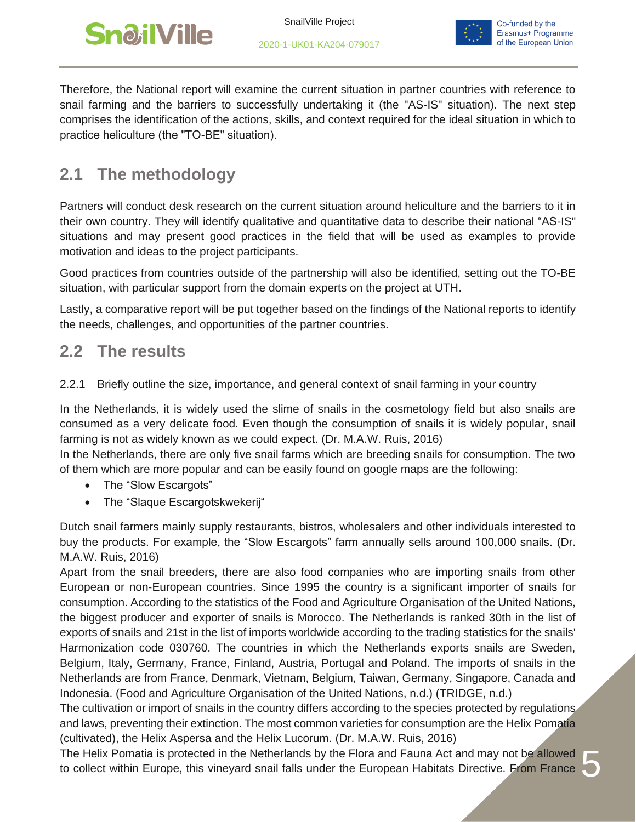



5

Therefore, the National report will examine the current situation in partner countries with reference to snail farming and the barriers to successfully undertaking it (the "AS-IS" situation). The next step comprises the identification of the actions, skills, and context required for the ideal situation in which to practice heliculture (the "ΤΟ-ΒΕ" situation).

#### <span id="page-4-0"></span>**2.1 The methodology**

Partners will conduct desk research on the current situation around heliculture and the barriers to it in their own country. They will identify qualitative and quantitative data to describe their national "AS-IS" situations and may present good practices in the field that will be used as examples to provide motivation and ideas to the project participants.

Good practices from countries outside of the partnership will also be identified, setting out the TO-BE situation, with particular support from the domain experts on the project at UTH.

Lastly, a comparative report will be put together based on the findings of the National reports to identify the needs, challenges, and opportunities of the partner countries.

#### <span id="page-4-1"></span>**2.2 The results**

2.2.1 Briefly outline the size, importance, and general context of snail farming in your country

In the Netherlands, it is widely used the slime of snails in the cosmetology field but also snails are consumed as a very delicate food. Even though the consumption of snails it is widely popular, snail farming is not as widely known as we could expect. (Dr. M.A.W. Ruis, 2016)

In the Netherlands, there are only five snail farms which are breeding snails for consumption. The two of them which are more popular and can be easily found on google maps are the following:

- The "Slow Escargots"
- The "Slaque Escargotskwekerij"

Dutch snail farmers mainly supply restaurants, bistros, wholesalers and other individuals interested to buy the products. For example, the "Slow Escargots" farm annually sells around 100,000 snails. (Dr. M.A.W. Ruis, 2016)

Apart from the snail breeders, there are also food companies who are importing snails from other European or non-European countries. Since 1995 the country is a significant importer of snails for consumption. According to the statistics of the Food and Agriculture Organisation of the United Nations, the biggest producer and exporter of snails is Morocco. The Netherlands is ranked 30th in the list of exports of snails and 21st in the list of imports worldwide according to the trading statistics for the snails' Harmonization code 030760. The countries in which the Netherlands exports snails are Sweden, Belgium, Italy, Germany, France, Finland, Austria, Portugal and Poland. The imports of snails in the Netherlands are from France, Denmark, Vietnam, Belgium, Taiwan, Germany, Singapore, Canada and Indonesia. (Food and Agriculture Organisation of the United Nations, n.d.) (TRIDGE, n.d.)

The cultivation or import of snails in the country differs according to the species protected by regulations and laws, preventing their extinction. The most common varieties for consumption are the Helix Pomatia (cultivated), the Helix Aspersa and the Helix Lucorum. (Dr. M.A.W. Ruis, 2016)

The Helix Pomatia is protected in the Netherlands by the Flora and Fauna Act and may not be allowed to collect within Europe, this vineyard snail falls under the European Habitats Directive. From France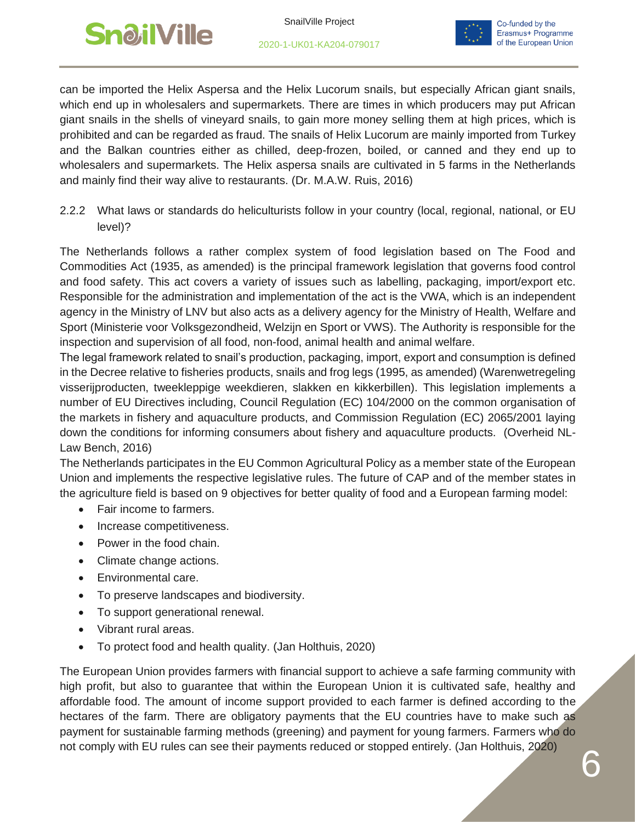



can be imported the Helix Aspersa and the Helix Lucorum snails, but especially African giant snails, which end up in wholesalers and supermarkets. There are times in which producers may put African giant snails in the shells of vineyard snails, to gain more money selling them at high prices, which is prohibited and can be regarded as fraud. The snails of Helix Lucorum are mainly imported from Turkey and the Balkan countries either as chilled, deep-frozen, boiled, or canned and they end up to wholesalers and supermarkets. The Helix aspersa snails are cultivated in 5 farms in the Netherlands and mainly find their way alive to restaurants. (Dr. M.A.W. Ruis, 2016)

2.2.2 What laws or standards do heliculturists follow in your country (local, regional, national, or EU level)?

The Netherlands follows a rather complex system of food legislation based on The Food and Commodities Act (1935, as amended) is the principal framework legislation that governs food control and food safety. This act covers a variety of issues such as labelling, packaging, import/export etc. Responsible for the administration and implementation of the act is the VWA, which is an independent agency in the Ministry of LNV but also acts as a delivery agency for the Ministry of Health, Welfare and Sport (Ministerie voor Volksgezondheid, Welzijn en Sport or VWS). The Authority is responsible for the inspection and supervision of all food, non-food, animal health and animal welfare.

The legal framework related to snail's production, packaging, import, export and consumption is defined in the Decree relative to fisheries products, snails and frog legs (1995, as amended) (Warenwetregeling visserijproducten, tweekleppige weekdieren, slakken en kikkerbillen). This legislation implements a number of EU Directives including, Council Regulation (EC) 104/2000 on the common organisation of the markets in fishery and aquaculture products, and Commission Regulation (EC) 2065/2001 laying down the conditions for informing consumers about fishery and aquaculture products. (Overheid NL-Law Bench, 2016)

The Netherlands participates in the EU Common Agricultural Policy as a member state of the European Union and implements the respective legislative rules. The future of CAP and of the member states in the agriculture field is based on 9 objectives for better quality of food and a European farming model:

- Fair income to farmers.
- Increase competitiveness.
- Power in the food chain.
- Climate change actions.
- Environmental care.
- To preserve landscapes and biodiversity.
- To support generational renewal.
- Vibrant rural areas.
- To protect food and health quality. (Jan Holthuis, 2020)

The European Union provides farmers with financial support to achieve a safe farming community with high profit, but also to guarantee that within the European Union it is cultivated safe, healthy and affordable food. The amount of income support provided to each farmer is defined according to the hectares of the farm. There are obligatory payments that the EU countries have to make such as payment for sustainable farming methods (greening) and payment for young farmers. Farmers who do not comply with EU rules can see their payments reduced or stopped entirely. (Jan Holthuis, 2020)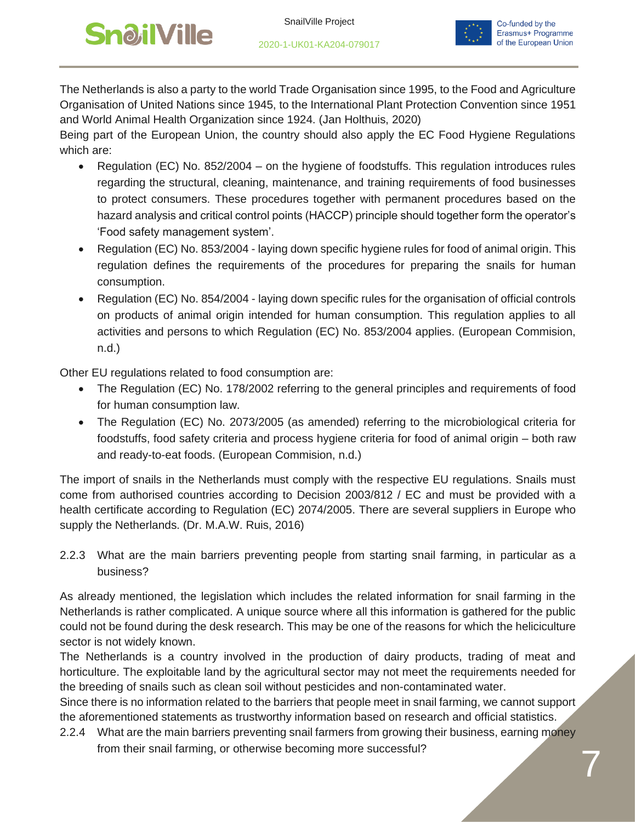## **SnailVille**





The Netherlands is also a party to the world Trade Organisation since 1995, to the Food and Agriculture Organisation of United Nations since 1945, to the International Plant Protection Convention since 1951 and World Animal Health Organization since 1924. (Jan Holthuis, 2020)

Being part of the European Union, the country should also apply the EC Food Hygiene Regulations which are:

- Regulation (EC) No. 852/2004 on the hygiene of foodstuffs. This regulation introduces rules regarding the structural, cleaning, maintenance, and training requirements of food businesses to protect consumers. These procedures together with permanent procedures based on the hazard analysis and critical control points (HACCP) principle should together form the operator's 'Food safety management system'.
- Regulation (EC) No. 853/2004 laying down specific hygiene rules for food of animal origin. This regulation defines the requirements of the procedures for preparing the snails for human consumption.
- Regulation (EC) No. 854/2004 laying down specific rules for the organisation of official controls on products of animal origin intended for human consumption. This regulation applies to all activities and persons to which Regulation (EC) No. 853/2004 applies. (European Commision, n.d.)

Other EU regulations related to food consumption are:

- The Regulation (EC) No. 178/2002 referring to the general principles and requirements of food for human consumption law.
- The Regulation (EC) No. 2073/2005 (as amended) referring to the microbiological criteria for foodstuffs, food safety criteria and process hygiene criteria for food of animal origin – both raw and ready-to-eat foods. (European Commision, n.d.)

The import of snails in the Netherlands must comply with the respective EU regulations. Snails must come from authorised countries according to Decision 2003/812 / EC and must be provided with a health certificate according to Regulation (EC) 2074/2005. There are several suppliers in Europe who supply the Netherlands. (Dr. M.A.W. Ruis, 2016)

2.2.3 What are the main barriers preventing people from starting snail farming, in particular as a business?

As already mentioned, the legislation which includes the related information for snail farming in the Netherlands is rather complicated. A unique source where all this information is gathered for the public could not be found during the desk research. This may be one of the reasons for which the heliciculture sector is not widely known.

The Netherlands is a country involved in the production of dairy products, trading of meat and horticulture. The exploitable land by the agricultural sector may not meet the requirements needed for the breeding of snails such as clean soil without pesticides and non-contaminated water.

Since there is no information related to the barriers that people meet in snail farming, we cannot support the aforementioned statements as trustworthy information based on research and official statistics.

2.2.4 What are the main barriers preventing snail farmers from growing their business, earning money from their snail farming, or otherwise becoming more successful?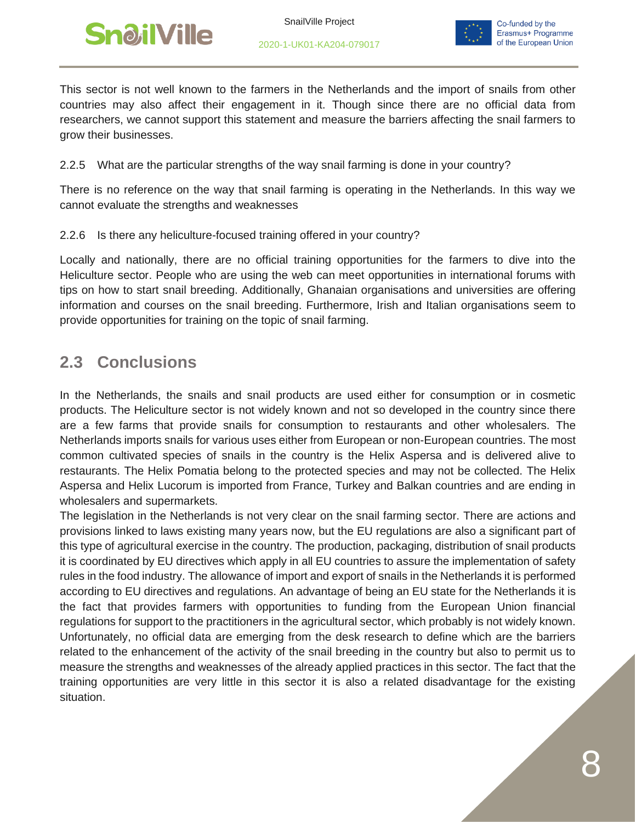



This sector is not well known to the farmers in the Netherlands and the import of snails from other countries may also affect their engagement in it. Though since there are no official data from researchers, we cannot support this statement and measure the barriers affecting the snail farmers to grow their businesses.

2.2.5 What are the particular strengths of the way snail farming is done in your country?

There is no reference on the way that snail farming is operating in the Netherlands. In this way we cannot evaluate the strengths and weaknesses

#### 2.2.6 Is there any heliculture-focused training offered in your country?

Locally and nationally, there are no official training opportunities for the farmers to dive into the Heliculture sector. People who are using the web can meet opportunities in international forums with tips on how to start snail breeding. Additionally, Ghanaian organisations and universities are offering information and courses on the snail breeding. Furthermore, Irish and Italian organisations seem to provide opportunities for training on the topic of snail farming.

#### <span id="page-7-0"></span>**2.3 Conclusions**

In the Netherlands, the snails and snail products are used either for consumption or in cosmetic products. The Heliculture sector is not widely known and not so developed in the country since there are a few farms that provide snails for consumption to restaurants and other wholesalers. The Netherlands imports snails for various uses either from European or non-European countries. The most common cultivated species of snails in the country is the Helix Aspersa and is delivered alive to restaurants. The Helix Pomatia belong to the protected species and may not be collected. The Helix Aspersa and Helix Lucorum is imported from France, Turkey and Balkan countries and are ending in wholesalers and supermarkets.

The legislation in the Netherlands is not very clear on the snail farming sector. There are actions and provisions linked to laws existing many years now, but the EU regulations are also a significant part of this type of agricultural exercise in the country. The production, packaging, distribution of snail products it is coordinated by EU directives which apply in all EU countries to assure the implementation of safety rules in the food industry. The allowance of import and export of snails in the Netherlands it is performed according to EU directives and regulations. An advantage of being an EU state for the Netherlands it is the fact that provides farmers with opportunities to funding from the European Union financial regulations for support to the practitioners in the agricultural sector, which probably is not widely known. Unfortunately, no official data are emerging from the desk research to define which are the barriers related to the enhancement of the activity of the snail breeding in the country but also to permit us to measure the strengths and weaknesses of the already applied practices in this sector. The fact that the training opportunities are very little in this sector it is also a related disadvantage for the existing situation.